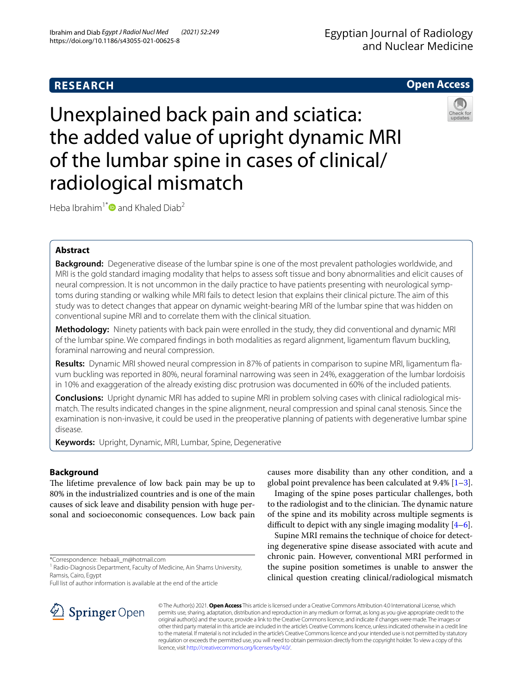# **RESEARCH**

# **Open Access**

Unexplained back pain and sciatica: the added value of upright dynamic MRI of the lumbar spine in cases of clinical/ radiological mismatch



Heba Ibrahim<sup>1[\\*](http://orcid.org/0000-0003-0735-4963)</sup> and Khaled Diab<sup>2</sup>

# **Abstract**

**Background:** Degenerative disease of the lumbar spine is one of the most prevalent pathologies worldwide, and MRI is the gold standard imaging modality that helps to assess soft tissue and bony abnormalities and elicit causes of neural compression. It is not uncommon in the daily practice to have patients presenting with neurological symptoms during standing or walking while MRI fails to detect lesion that explains their clinical picture. The aim of this study was to detect changes that appear on dynamic weight-bearing MRI of the lumbar spine that was hidden on conventional supine MRI and to correlate them with the clinical situation.

**Methodology:** Ninety patients with back pain were enrolled in the study, they did conventional and dynamic MRI of the lumbar spine. We compared fndings in both modalities as regard alignment, ligamentum favum buckling, foraminal narrowing and neural compression.

**Results:** Dynamic MRI showed neural compression in 87% of patients in comparison to supine MRI, ligamentum favum buckling was reported in 80%, neural foraminal narrowing was seen in 24%, exaggeration of the lumbar lordoisis in 10% and exaggeration of the already existing disc protrusion was documented in 60% of the included patients.

**Conclusions:** Upright dynamic MRI has added to supine MRI in problem solving cases with clinical radiological mismatch. The results indicated changes in the spine alignment, neural compression and spinal canal stenosis. Since the examination is non-invasive, it could be used in the preoperative planning of patients with degenerative lumbar spine disease.

**Keywords:** Upright, Dynamic, MRI, Lumbar, Spine, Degenerative

# **Background**

The lifetime prevalence of low back pain may be up to 80% in the industrialized countries and is one of the main causes of sick leave and disability pension with huge personal and socioeconomic consequences. Low back pain

\*Correspondence: hebaali\_m@hotmail.com

Full list of author information is available at the end of the article



Imaging of the spine poses particular challenges, both to the radiologist and to the clinician. The dynamic nature of the spine and its mobility across multiple segments is difficult to depict with any single imaging modality  $[4-6]$  $[4-6]$  $[4-6]$ .

Supine MRI remains the technique of choice for detecting degenerative spine disease associated with acute and chronic pain. However, conventional MRI performed in the supine position sometimes is unable to answer the clinical question creating clinical/radiological mismatch



© The Author(s) 2021. **Open Access** This article is licensed under a Creative Commons Attribution 4.0 International License, which permits use, sharing, adaptation, distribution and reproduction in any medium or format, as long as you give appropriate credit to the original author(s) and the source, provide a link to the Creative Commons licence, and indicate if changes were made. The images or other third party material in this article are included in the article's Creative Commons licence, unless indicated otherwise in a credit line to the material. If material is not included in the article's Creative Commons licence and your intended use is not permitted by statutory regulation or exceeds the permitted use, you will need to obtain permission directly from the copyright holder. To view a copy of this licence, visit [http://creativecommons.org/licenses/by/4.0/.](http://creativecommons.org/licenses/by/4.0/)

<sup>&</sup>lt;sup>1</sup> Radio-Diagnosis Department, Faculty of Medicine, Ain Shams University, Ramsis, Cairo, Egypt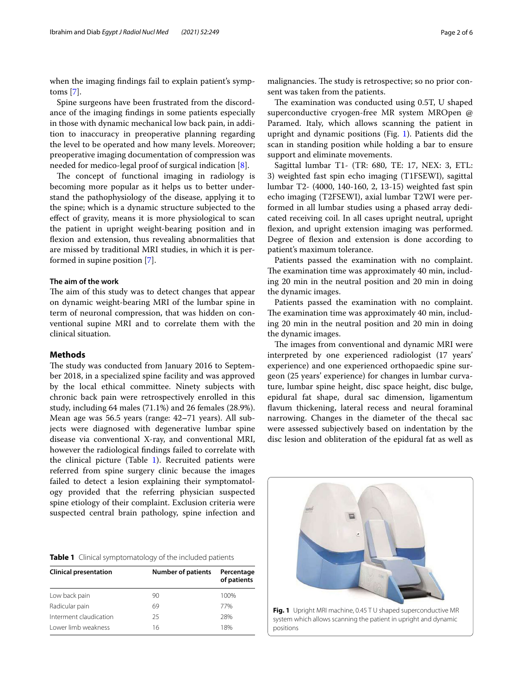when the imaging fndings fail to explain patient's symptoms [[7](#page-4-4)].

Spine surgeons have been frustrated from the discordance of the imaging fndings in some patients especially in those with dynamic mechanical low back pain, in addition to inaccuracy in preoperative planning regarding the level to be operated and how many levels. Moreover; preoperative imaging documentation of compression was needed for medico-legal proof of surgical indication [[8\]](#page-4-5).

The concept of functional imaging in radiology is becoming more popular as it helps us to better understand the pathophysiology of the disease, applying it to the spine; which is a dynamic structure subjected to the efect of gravity, means it is more physiological to scan the patient in upright weight-bearing position and in fexion and extension, thus revealing abnormalities that are missed by traditional MRI studies, in which it is performed in supine position [[7\]](#page-4-4).

## **The aim of the work**

The aim of this study was to detect changes that appear on dynamic weight-bearing MRI of the lumbar spine in term of neuronal compression, that was hidden on conventional supine MRI and to correlate them with the clinical situation.

## **Methods**

The study was conducted from January 2016 to September 2018, in a specialized spine facility and was approved by the local ethical committee. Ninety subjects with chronic back pain were retrospectively enrolled in this study, including 64 males (71.1%) and 26 females (28.9%). Mean age was 56.5 years (range: 42**–**71 years). All subjects were diagnosed with degenerative lumbar spine disease via conventional X-ray, and conventional MRI, however the radiological fndings failed to correlate with the clinical picture (Table [1](#page-1-0)). Recruited patients were referred from spine surgery clinic because the images failed to detect a lesion explaining their symptomatology provided that the referring physician suspected spine etiology of their complaint. Exclusion criteria were suspected central brain pathology, spine infection and

<span id="page-1-0"></span>

|  |  | Table 1 Clinical symptomatology of the included patients |  |  |  |  |
|--|--|----------------------------------------------------------|--|--|--|--|
|--|--|----------------------------------------------------------|--|--|--|--|

| <b>Clinical presentation</b> | <b>Number of patients</b> | Percentage<br>of patients |
|------------------------------|---------------------------|---------------------------|
| Low back pain                | 90                        | 100%                      |
| Radicular pain               | 69                        | 77%                       |
| Interment claudication       | 25                        | 28%                       |
| Lower limb weakness          | 16                        | 18%                       |

malignancies. The study is retrospective; so no prior consent was taken from the patients.

The examination was conducted using 0.5T, U shaped superconductive cryogen-free MR system MROpen @ Paramed. Italy, which allows scanning the patient in upright and dynamic positions (Fig. [1](#page-1-1)). Patients did the scan in standing position while holding a bar to ensure support and eliminate movements.

Sagittal lumbar T1- (TR: 680, TE: 17, NEX: 3, ETL: 3) weighted fast spin echo imaging (T1FSEWI), sagittal lumbar T2- (4000, 140-160, 2, 13-15) weighted fast spin echo imaging (T2FSEWI), axial lumbar T2WI were performed in all lumbar studies using a phased array dedicated receiving coil. In all cases upright neutral, upright fexion, and upright extension imaging was performed. Degree of fexion and extension is done according to patient's maximum tolerance.

Patients passed the examination with no complaint. The examination time was approximately 40 min, including 20 min in the neutral position and 20 min in doing the dynamic images.

Patients passed the examination with no complaint. The examination time was approximately 40 min, including 20 min in the neutral position and 20 min in doing the dynamic images.

The images from conventional and dynamic MRI were interpreted by one experienced radiologist (17 years' experience) and one experienced orthopaedic spine surgeon (25 years' experience) for changes in lumbar curvature, lumbar spine height, disc space height, disc bulge, epidural fat shape, dural sac dimension, ligamentum favum thickening, lateral recess and neural foraminal narrowing. Changes in the diameter of the thecal sac were assessed subjectively based on indentation by the disc lesion and obliteration of the epidural fat as well as

<span id="page-1-1"></span>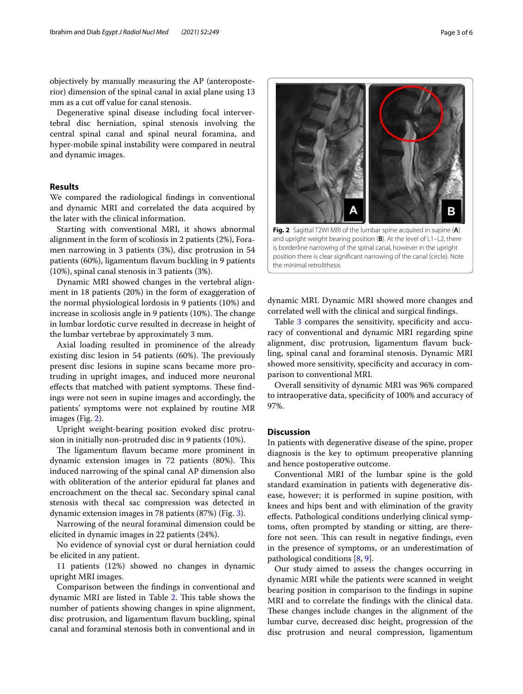objectively by manually measuring the AP (anteroposterior) dimension of the spinal canal in axial plane using 13 mm as a cut off value for canal stenosis.

Degenerative spinal disease including focal intervertebral disc herniation, spinal stenosis involving the central spinal canal and spinal neural foramina, and hyper-mobile spinal instability were compared in neutral and dynamic images.

### **Results**

We compared the radiological fndings in conventional and dynamic MRI and correlated the data acquired by the later with the clinical information.

Starting with conventional MRI, it shows abnormal alignment in the form of scoliosis in 2 patients (2%), Foramen narrowing in 3 patients (3%), disc protrusion in 54 patients (60%), ligamentum favum buckling in 9 patients (10%), spinal canal stenosis in 3 patients (3%).

Dynamic MRI showed changes in the vertebral alignment in 18 patients (20%) in the form of exaggeration of the normal physiological lordosis in 9 patients (10%) and increase in scoliosis angle in 9 patients  $(10\%)$ . The change in lumbar lordotic curve resulted in decrease in height of the lumbar vertebrae by approximately 3 mm.

Axial loading resulted in prominence of the already existing disc lesion in 54 patients  $(60%)$ . The previously present disc lesions in supine scans became more protruding in upright images, and induced more neuronal effects that matched with patient symptoms. These findings were not seen in supine images and accordingly, the patients' symptoms were not explained by routine MR images (Fig. [2\)](#page-2-0).

Upright weight-bearing position evoked disc protrusion in initially non-protruded disc in 9 patients (10%).

The ligamentum flavum became more prominent in dynamic extension images in 72 patients (80%). This induced narrowing of the spinal canal AP dimension also with obliteration of the anterior epidural fat planes and encroachment on the thecal sac. Secondary spinal canal stenosis with thecal sac compression was detected in dynamic extension images in 78 patients (87%) (Fig. [3](#page-3-0)).

Narrowing of the neural foraminal dimension could be elicited in dynamic images in 22 patients (24%).

No evidence of synovial cyst or dural herniation could be elicited in any patient.

11 patients (12%) showed no changes in dynamic upright MRI images.

Comparison between the fndings in conventional and dynamic MRI are listed in Table [2.](#page-3-1) This table shows the number of patients showing changes in spine alignment, disc protrusion, and ligamentum favum buckling, spinal canal and foraminal stenosis both in conventional and in

dynamic MRI. Dynamic MRI showed more changes and correlated well with the clinical and surgical fndings.

<span id="page-2-0"></span>is borderline narrowing of the spinal canal, however in the upright position there is clear signifcant narrowing of the canal (circle). Note

Table [3](#page-3-2) compares the sensitivity, specificity and accuracy of conventional and dynamic MRI regarding spine alignment, disc protrusion, ligamentum flavum buckling, spinal canal and foraminal stenosis. Dynamic MRI showed more sensitivity, specifcity and accuracy in comparison to conventional MRI.

Overall sensitivity of dynamic MRI was 96% compared to intraoperative data, specifcity of 100% and accuracy of 97%.

### **Discussion**

the minimal retrolithesis

In patients with degenerative disease of the spine, proper diagnosis is the key to optimum preoperative planning and hence postoperative outcome.

Conventional MRI of the lumbar spine is the gold standard examination in patients with degenerative disease, however; it is performed in supine position, with knees and hips bent and with elimination of the gravity efects. Pathological conditions underlying clinical symptoms, often prompted by standing or sitting, are therefore not seen. This can result in negative findings, even in the presence of symptoms, or an underestimation of pathological conditions [[8,](#page-4-5) [9](#page-4-6)].

Our study aimed to assess the changes occurring in dynamic MRI while the patients were scanned in weight bearing position in comparison to the fndings in supine MRI and to correlate the fndings with the clinical data. These changes include changes in the alignment of the lumbar curve, decreased disc height, progression of the disc protrusion and neural compression, ligamentum

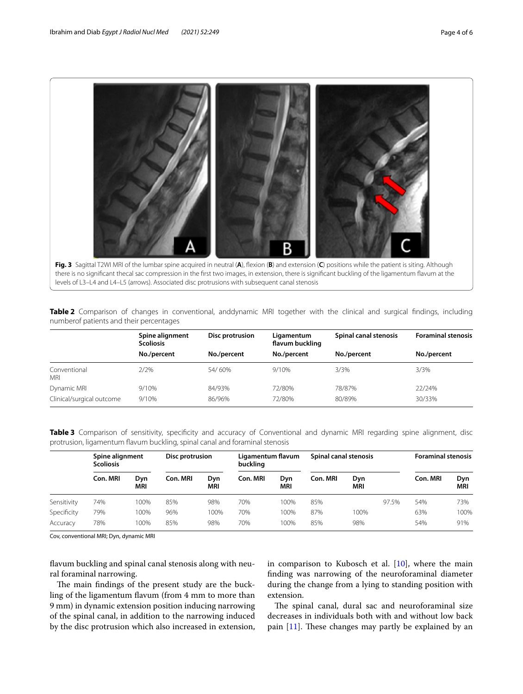

<span id="page-3-1"></span><span id="page-3-0"></span>**Table 2** Comparison of changes in conventional, anddynamic MRI together with the clinical and surgical fndings, including numberof patients and their percentages

|                            | Spine alignment<br><b>Scoliosis</b> | Disc protrusion | Ligamentum<br>flavum buckling | Spinal canal stenosis | <b>Foraminal stenosis</b> |  |
|----------------------------|-------------------------------------|-----------------|-------------------------------|-----------------------|---------------------------|--|
|                            | No./percent                         | No./percent     | No./percent                   | No./percent           | No./percent               |  |
| Conventional<br><b>MRI</b> | 2/2%                                | 54/60%          | 9/10%                         | 3/3%                  | 3/3%                      |  |
| Dynamic MRI                | 9/10%                               | 84/93%          | 72/80%                        | 78/87%                | 22/24%                    |  |
| Clinical/surgical outcome  | 9/10%                               | 86/96%          | 72/80%                        | 80/89%                | 30/33%                    |  |

<span id="page-3-2"></span>**Table 3** Comparison of sensitivity, specifcity and accuracy of Conventional and dynamic MRI regarding spine alignment, disc protrusion, ligamentum favum buckling, spinal canal and foraminal stenosis

|             | Spine alignment<br><b>Scoliosis</b> |                   | Disc protrusion |            | Ligamentum flavum<br>buckling |            | Spinal canal stenosis |            |       | <b>Foraminal stenosis</b> |            |
|-------------|-------------------------------------|-------------------|-----------------|------------|-------------------------------|------------|-----------------------|------------|-------|---------------------------|------------|
|             | Con. MRI                            | Dyn<br><b>MRI</b> | Con. MRI        | Dyn<br>MRI | Con. MRI                      | Dyn<br>MRI | Con. MRI              | Dyn<br>MRI |       | Con. MRI                  | Dyn<br>MRI |
| Sensitivity | 74%                                 | 100%              | 85%             | 98%        | 70%                           | 100%       | 85%                   |            | 97.5% | 54%                       | 73%        |
| Specificity | 79%                                 | 100%              | 96%             | 100%       | 70%                           | 100%       | 87%                   | 100%       |       | 63%                       | 100%       |
| Accuracy    | 78%                                 | 100%              | 85%             | 98%        | 70%                           | 100%       | 85%                   | 98%        |       | 54%                       | 91%        |

Cov, conventional MRI; Dyn, dynamic MRI

favum buckling and spinal canal stenosis along with neural foraminal narrowing.

The main findings of the present study are the buckling of the ligamentum favum (from 4 mm to more than 9 mm) in dynamic extension position inducing narrowing of the spinal canal, in addition to the narrowing induced by the disc protrusion which also increased in extension,

in comparison to Kubosch et al.  $[10]$  $[10]$  $[10]$ , where the main fnding was narrowing of the neuroforaminal diameter during the change from a lying to standing position with extension.

The spinal canal, dural sac and neuroforaminal size decreases in individuals both with and without low back pain  $[11]$  $[11]$ . These changes may partly be explained by an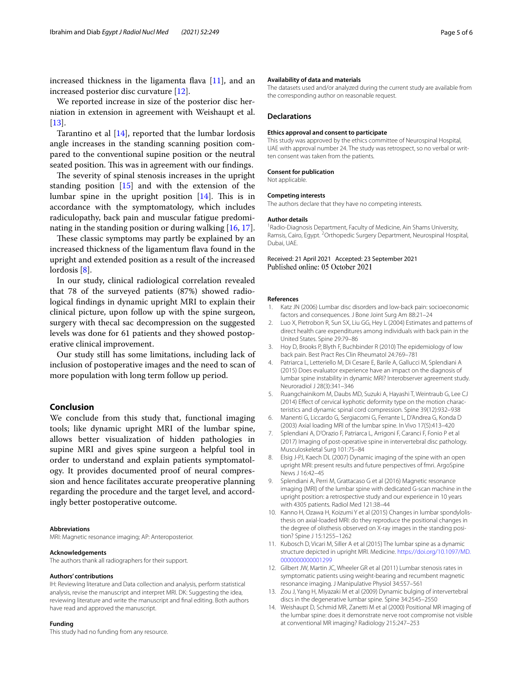increased thickness in the ligamenta flava  $[11]$  $[11]$ , and an increased posterior disc curvature [\[12](#page-4-9)].

We reported increase in size of the posterior disc herniation in extension in agreement with Weishaupt et al. [[13\]](#page-4-10).

Tarantino et al  $[14]$  $[14]$  $[14]$ , reported that the lumbar lordosis angle increases in the standing scanning position compared to the conventional supine position or the neutral seated position. This was in agreement with our findings.

The severity of spinal stenosis increases in the upright standing position  $[15]$  and with the extension of the lumbar spine in the upright position  $[14]$  $[14]$  $[14]$ . This is in accordance with the symptomatology, which includes radiculopathy, back pain and muscular fatigue predominating in the standing position or during walking [\[16,](#page-5-1) [17](#page-5-2)].

These classic symptoms may partly be explained by an increased thickness of the ligamentum flava found in the upright and extended position as a result of the increased lordosis [\[8](#page-4-5)].

In our study, clinical radiological correlation revealed that 78 of the surveyed patients (87%) showed radiological fndings in dynamic upright MRI to explain their clinical picture, upon follow up with the spine surgeon, surgery with thecal sac decompression on the suggested levels was done for 61 patients and they showed postoperative clinical improvement.

Our study still has some limitations, including lack of inclusion of postoperative images and the need to scan of more population with long term follow up period.

### **Conclusion**

We conclude from this study that, functional imaging tools; like dynamic upright MRI of the lumbar spine, allows better visualization of hidden pathologies in supine MRI and gives spine surgeon a helpful tool in order to understand and explain patients symptomatology. It provides documented proof of neural compression and hence facilitates accurate preoperative planning regarding the procedure and the target level, and accordingly better postoperative outcome.

#### **Abbreviations**

MRI: Magnetic resonance imaging; AP: Anteroposterior.

#### **Acknowledgements**

The authors thank all radiographers for their support.

#### **Authors' contributions**

IH: Reviewing literature and Data collection and analysis, perform statistical analysis, revise the manuscript and interpret MRI. DK: Suggesting the idea, reviewing literature and write the manuscript and fnal editing. Both authors have read and approved the manuscript.

#### **Funding**

This study had no funding from any resource.

#### **Availability of data and materials**

The datasets used and/or analyzed during the current study are available from the corresponding author on reasonable request.

#### **Declarations**

#### **Ethics approval and consent to participate**

This study was approved by the ethics committee of Neurospinal Hospital, UAE with approval number 24. The study was retrospect, so no verbal or written consent was taken from the patients.

#### **Consent for publication**

Not applicable.

#### **Competing interests**

The authors declare that they have no competing interests.

#### **Author details**

<sup>1</sup> Radio-Diagnosis Department, Faculty of Medicine, Ain Shams University, Ramsis, Cairo, Egypt. <sup>2</sup> Orthopedic Surgery Department, Neurospinal Hospital, Dubai, UAE.

### Received: 21 April 2021 Accepted: 23 September 2021 Published online: 05 October 2021

#### **References**

- <span id="page-4-0"></span>1. Katz JN (2006) Lumbar disc disorders and low-back pain: socioeconomic factors and consequences. J Bone Joint Surg Am 88:21–24
- 2. Luo X, Pietrobon R, Sun SX, Liu GG, Hey L (2004) Estimates and patterns of direct health care expenditures among individuals with back pain in the United States. Spine 29:79–86
- <span id="page-4-1"></span>3. Hoy D, Brooks P, Blyth F, Buchbinder R (2010) The epidemiology of low back pain. Best Pract Res Clin Rheumatol 24:769–781
- <span id="page-4-2"></span>4. Patriarca L, Letteriello M, Di Cesare E, Barile A, Gallucci M, Splendiani A (2015) Does evaluator experience have an impact on the diagnosis of lumbar spine instability in dynamic MRI? Interobserver agreement study. Neuroradiol J 28(3):341–346
- 5. Ruangchainikom M, Daubs MD, Suzuki A, Hayashi T, Weintraub G, Lee CJ (2014) Efect of cervical kyphotic deformity type on the motion characteristics and dynamic spinal cord compression. Spine 39(12):932–938
- <span id="page-4-3"></span>6. Manenti G, Liccardo G, Sergiacomi G, Ferrante L, D'Andrea G, Konda D (2003) Axial loading MRI of the lumbar spine. In Vivo 17(5):413–420
- <span id="page-4-4"></span>7. Splendiani A, D'Orazio F, Patriarca L, Arrigoni F, Caranci F, Fonio P et al (2017) Imaging of post-operative spine in intervertebral disc pathology. Musculoskeletal Surg 101:75–84
- <span id="page-4-5"></span>8. Elsig J-PJ, Kaech DL (2007) Dynamic imaging of the spine with an open upright MRI: present results and future perspectives of fmri. ArgoSpine News J 16:42–45
- <span id="page-4-6"></span>9. Splendiani A, Perri M, Grattacaso G et al (2016) Magnetic resonance imaging (MRI) of the lumbar spine with dedicated G-scan machine in the upright position: a retrospective study and our experience in 10 years with 4305 patients. Radiol Med 121:38–44
- <span id="page-4-7"></span>10. Kanno H, Ozawa H, Koizumi Y et al (2015) Changes in lumbar spondylolisthesis on axial-loaded MRI: do they reproduce the positional changes in the degree of olisthesis observed on X-ray images in the standing position? Spine J 15:1255–1262
- <span id="page-4-8"></span>11. Kubosch D, Vicari M, Siller A et al (2015) The lumbar spine as a dynamic structure depicted in upright MRI. Medicine. [https://doi.org/10.1097/MD.](https://doi.org/10.1097/MD.0000000000001299) [0000000000001299](https://doi.org/10.1097/MD.0000000000001299)
- <span id="page-4-9"></span>12. Gilbert JW, Martin JC, Wheeler GR et al (2011) Lumbar stenosis rates in symptomatic patients using weight-bearing and recumbent magnetic resonance imaging. J Manipulative Physiol 34:557–561
- <span id="page-4-10"></span>13. Zou J, Yang H, Miyazaki M et al (2009) Dynamic bulging of intervertebral discs in the degenerative lumbar spine. Spine 34:2545–2550
- <span id="page-4-11"></span>14. Weishaupt D, Schmid MR, Zanetti M et al (2000) Positional MR imaging of the lumbar spine: does it demonstrate nerve root compromise not visible at conventional MR imaging? Radiology 215:247–253